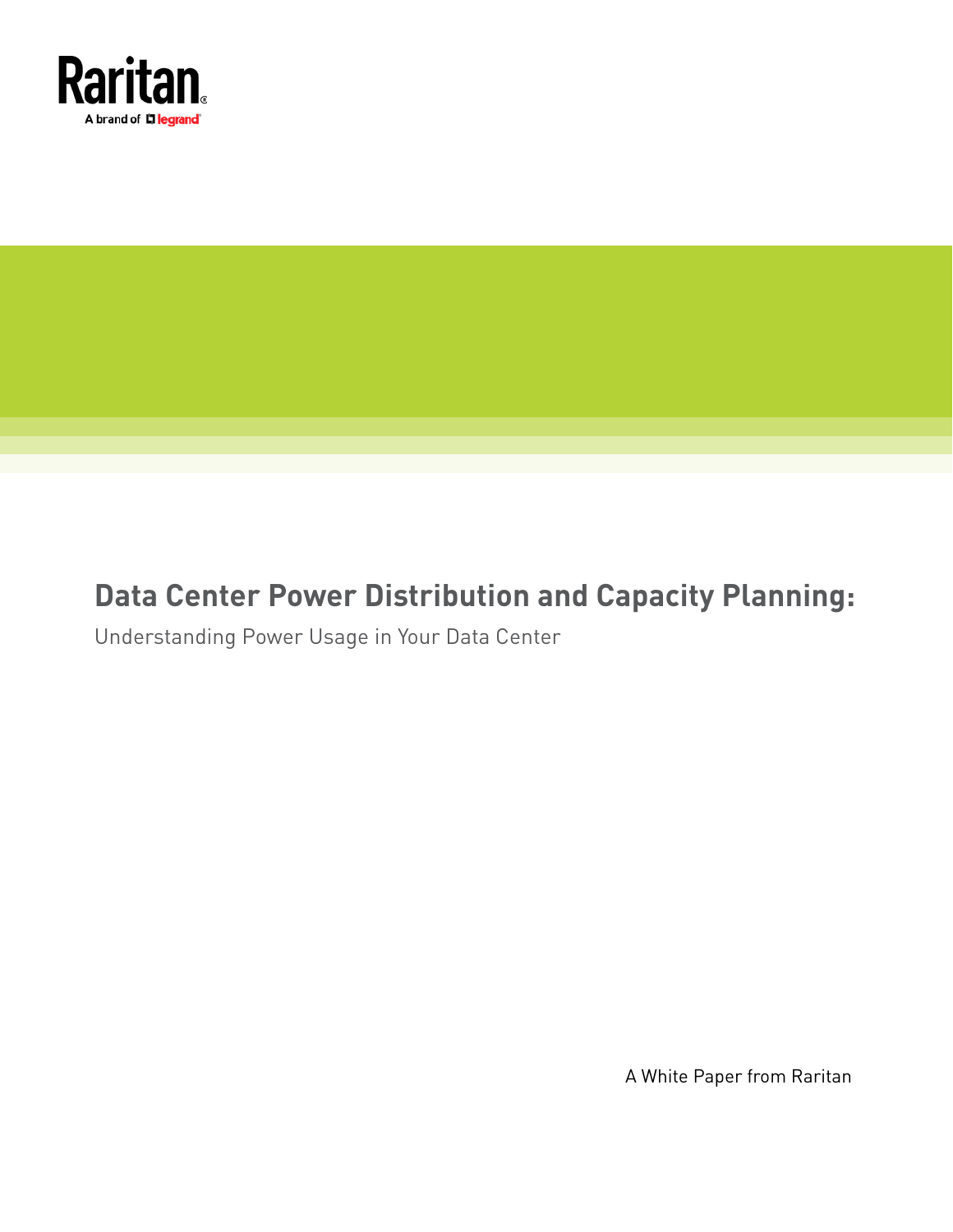

# **Data Center Power Distribution and Capacity Planning:**

Understanding Power Usage in Your Data Center

A White Paper from Raritan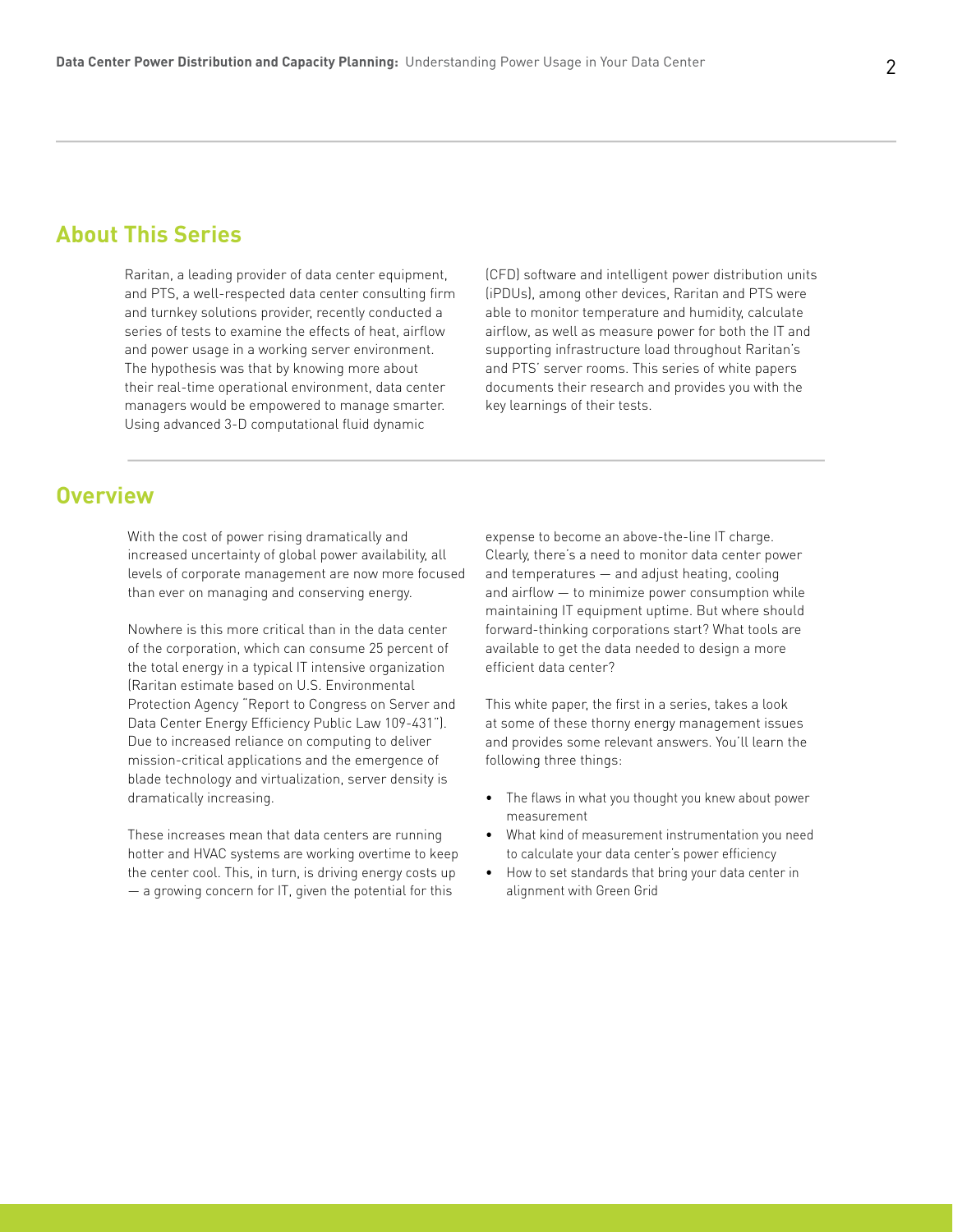## **About This Series**

Raritan, a leading provider of data center equipment, and PTS, a well-respected data center consulting firm and turnkey solutions provider, recently conducted a series of tests to examine the effects of heat, airflow and power usage in a working server environment. The hypothesis was that by knowing more about their real-time operational environment, data center managers would be empowered to manage smarter. Using advanced 3-D computational fluid dynamic

(CFD) software and intelligent power distribution units (iPDUs), among other devices, Raritan and PTS were able to monitor temperature and humidity, calculate airflow, as well as measure power for both the IT and supporting infrastructure load throughout Raritan's and PTS' server rooms. This series of white papers documents their research and provides you with the key learnings of their tests.

#### **Overview**

With the cost of power rising dramatically and increased uncertainty of global power availability, all levels of corporate management are now more focused than ever on managing and conserving energy.

Nowhere is this more critical than in the data center of the corporation, which can consume 25 percent of the total energy in a typical IT intensive organization (Raritan estimate based on U.S. Environmental Protection Agency "Report to Congress on Server and Data Center Energy Efficiency Public Law 109-431"). Due to increased reliance on computing to deliver mission-critical applications and the emergence of blade technology and virtualization, server density is dramatically increasing.

These increases mean that data centers are running hotter and HVAC systems are working overtime to keep the center cool. This, in turn, is driving energy costs up — a growing concern for IT, given the potential for this

expense to become an above-the-line IT charge. Clearly, there's a need to monitor data center power and temperatures — and adjust heating, cooling and airflow — to minimize power consumption while maintaining IT equipment uptime. But where should forward-thinking corporations start? What tools are available to get the data needed to design a more efficient data center?

This white paper, the first in a series, takes a look at some of these thorny energy management issues and provides some relevant answers. You'll learn the following three things:

- The flaws in what you thought you knew about power measurement
- What kind of measurement instrumentation you need to calculate your data center's power efficiency
- How to set standards that bring your data center in alignment with Green Grid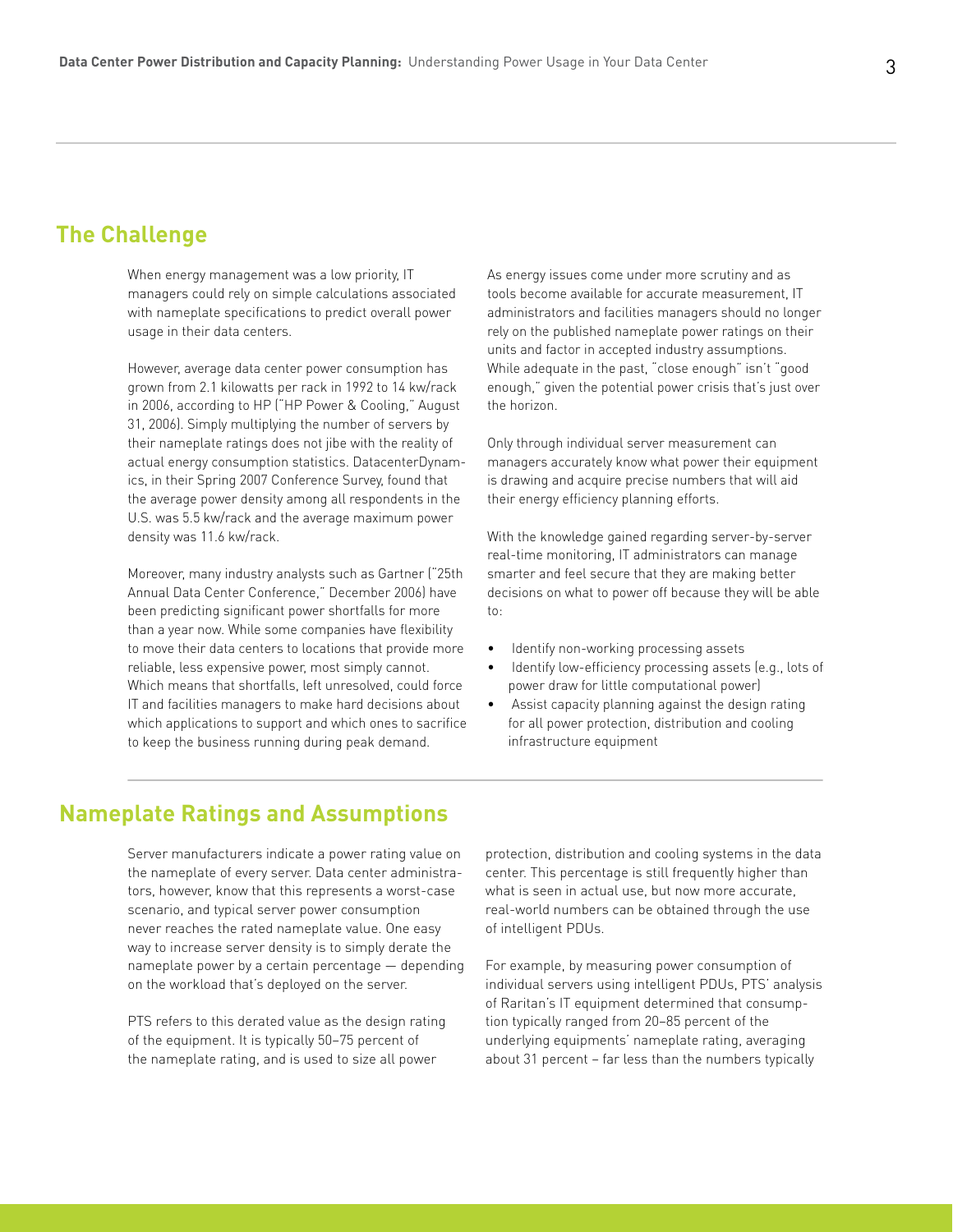## **The Challenge**

When energy management was a low priority, IT managers could rely on simple calculations associated with nameplate specifications to predict overall power usage in their data centers.

However, average data center power consumption has grown from 2.1 kilowatts per rack in 1992 to 14 kw/rack in 2006, according to HP ("HP Power & Cooling," August 31, 2006). Simply multiplying the number of servers by their nameplate ratings does not jibe with the reality of actual energy consumption statistics. DatacenterDynamics, in their Spring 2007 Conference Survey, found that the average power density among all respondents in the U.S. was 5.5 kw/rack and the average maximum power density was 11.6 kw/rack.

Moreover, many industry analysts such as Gartner ("25th Annual Data Center Conference," December 2006) have been predicting significant power shortfalls for more than a year now. While some companies have flexibility to move their data centers to locations that provide more reliable, less expensive power, most simply cannot. Which means that shortfalls, left unresolved, could force IT and facilities managers to make hard decisions about which applications to support and which ones to sacrifice to keep the business running during peak demand.

As energy issues come under more scrutiny and as tools become available for accurate measurement, IT administrators and facilities managers should no longer rely on the published nameplate power ratings on their units and factor in accepted industry assumptions. While adequate in the past, "close enough" isn't "good enough," given the potential power crisis that's just over the horizon.

Only through individual server measurement can managers accurately know what power their equipment is drawing and acquire precise numbers that will aid their energy efficiency planning efforts.

With the knowledge gained regarding server-by-server real-time monitoring, IT administrators can manage smarter and feel secure that they are making better decisions on what to power off because they will be able to:

- Identify non-working processing assets
- Identify low-efficiency processing assets (e.g., lots of power draw for little computational power)
- Assist capacity planning against the design rating for all power protection, distribution and cooling infrastructure equipment

## **Nameplate Ratings and Assumptions**

Server manufacturers indicate a power rating value on the nameplate of every server. Data center administrators, however, know that this represents a worst-case scenario, and typical server power consumption never reaches the rated nameplate value. One easy way to increase server density is to simply derate the nameplate power by a certain percentage — depending on the workload that's deployed on the server.

PTS refers to this derated value as the design rating of the equipment. It is typically 50–75 percent of the nameplate rating, and is used to size all power

protection, distribution and cooling systems in the data center. This percentage is still frequently higher than what is seen in actual use, but now more accurate, real-world numbers can be obtained through the use of intelligent PDUs.

For example, by measuring power consumption of individual servers using intelligent PDUs, PTS' analysis of Raritan's IT equipment determined that consumption typically ranged from 20–85 percent of the underlying equipments' nameplate rating, averaging about 31 percent – far less than the numbers typically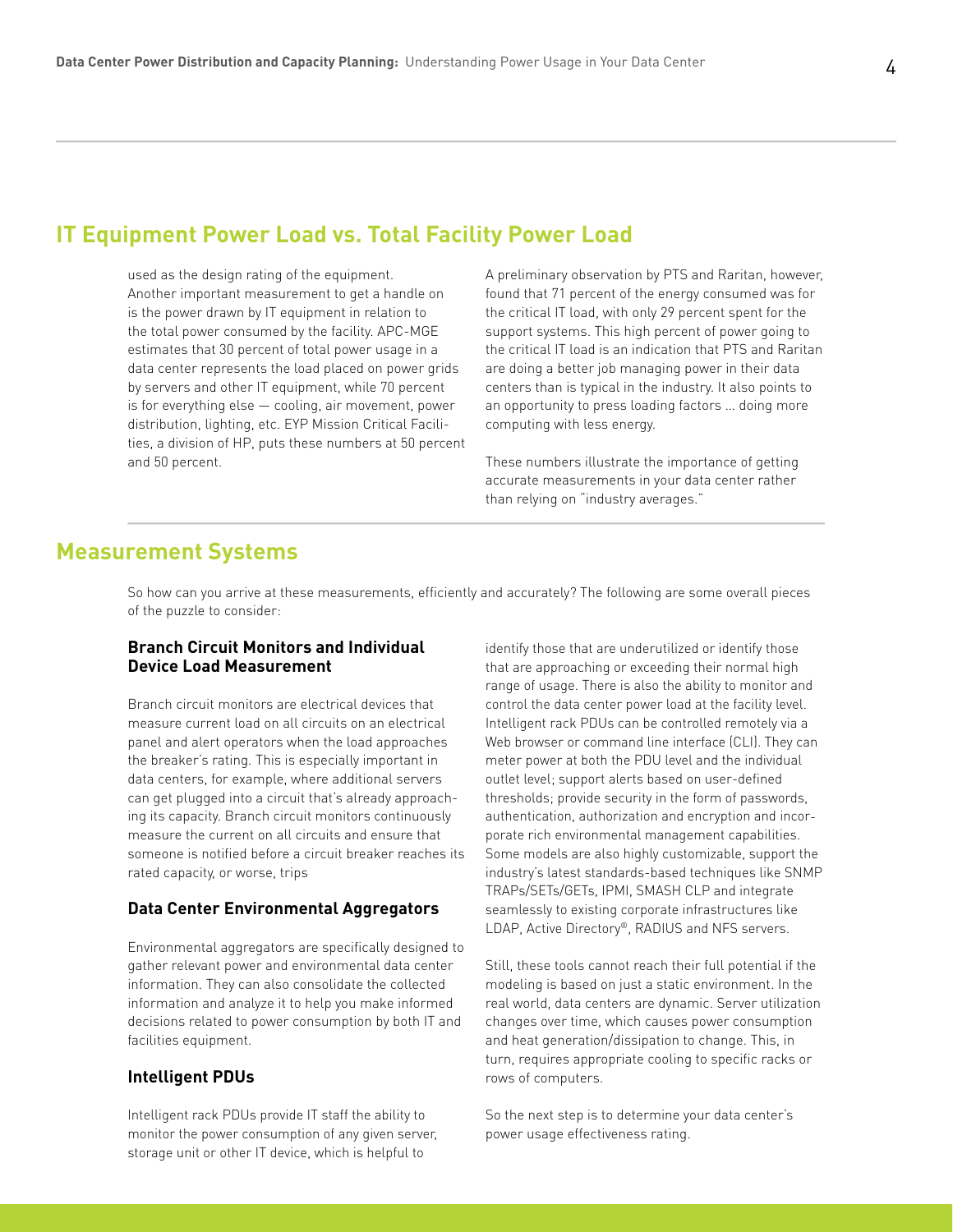## **IT Equipment Power Load vs. Total Facility Power Load**

used as the design rating of the equipment. Another important measurement to get a handle on is the power drawn by IT equipment in relation to the total power consumed by the facility. APC-MGE estimates that 30 percent of total power usage in a data center represents the load placed on power grids by servers and other IT equipment, while 70 percent is for everything else — cooling, air movement, power distribution, lighting, etc. EYP Mission Critical Facilities, a division of HP, puts these numbers at 50 percent and 50 percent.

A preliminary observation by PTS and Raritan, however, found that 71 percent of the energy consumed was for the critical IT load, with only 29 percent spent for the support systems. This high percent of power going to the critical IT load is an indication that PTS and Raritan are doing a better job managing power in their data centers than is typical in the industry. It also points to an opportunity to press loading factors … doing more computing with less energy.

These numbers illustrate the importance of getting accurate measurements in your data center rather than relying on "industry averages."

## **Measurement Systems**

So how can you arrive at these measurements, efficiently and accurately? The following are some overall pieces of the puzzle to consider:

#### **Branch Circuit Monitors and Individual Device Load Measurement**

Branch circuit monitors are electrical devices that measure current load on all circuits on an electrical panel and alert operators when the load approaches the breaker's rating. This is especially important in data centers, for example, where additional servers can get plugged into a circuit that's already approaching its capacity. Branch circuit monitors continuously measure the current on all circuits and ensure that someone is notified before a circuit breaker reaches its rated capacity, or worse, trips

#### **Data Center Environmental Aggregators**

Environmental aggregators are specifically designed to gather relevant power and environmental data center information. They can also consolidate the collected information and analyze it to help you make informed decisions related to power consumption by both IT and facilities equipment.

#### **Intelligent PDUs**

Intelligent rack PDUs provide IT staff the ability to monitor the power consumption of any given server, storage unit or other IT device, which is helpful to

identify those that are underutilized or identify those that are approaching or exceeding their normal high range of usage. There is also the ability to monitor and control the data center power load at the facility level. Intelligent rack PDUs can be controlled remotely via a Web browser or command line interface (CLI). They can meter power at both the PDU level and the individual outlet level; support alerts based on user-defined thresholds; provide security in the form of passwords, authentication, authorization and encryption and incorporate rich environmental management capabilities. Some models are also highly customizable, support the industry's latest standards-based techniques like SNMP TRAPs/SETs/GETs, IPMI, SMASH CLP and integrate seamlessly to existing corporate infrastructures like LDAP, Active Directory®, RADIUS and NFS servers.

Still, these tools cannot reach their full potential if the modeling is based on just a static environment. In the real world, data centers are dynamic. Server utilization changes over time, which causes power consumption and heat generation/dissipation to change. This, in turn, requires appropriate cooling to specific racks or rows of computers.

So the next step is to determine your data center's power usage effectiveness rating.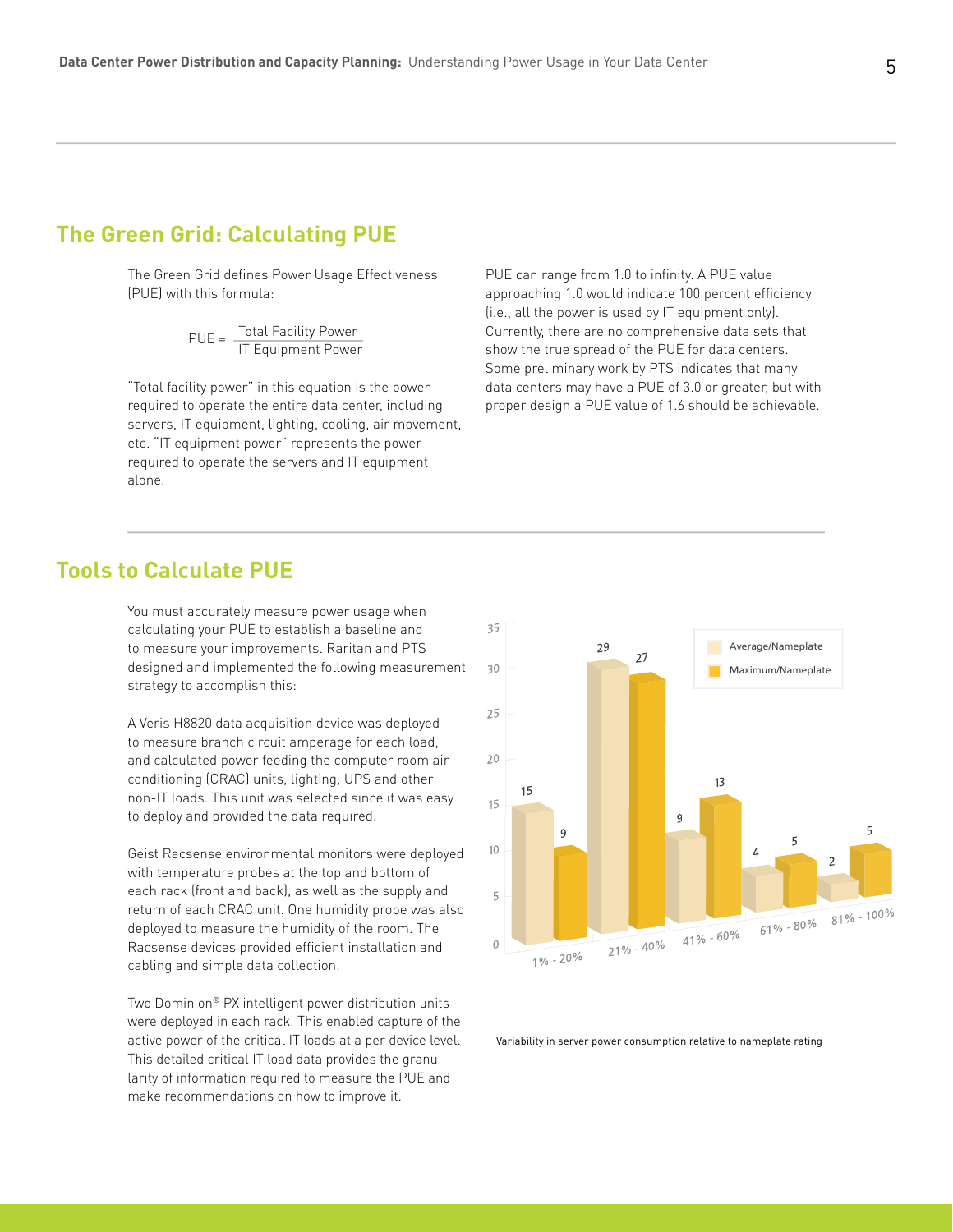## **The Green Grid: Calculating PUE**

The Green Grid defines Power Usage Effectiveness (PUE) with this formula:

$$
PUE = \frac{Total Facility Power}{IT Equipment Power}
$$

"Total facility power" in this equation is the power required to operate the entire data center, including servers, IT equipment, lighting, cooling, air movement, etc. "IT equipment power" represents the power required to operate the servers and IT equipment alone.

PUE can range from 1.0 to infinity. A PUE value approaching 1.0 would indicate 100 percent efficiency (i.e., all the power is used by IT equipment only). Currently, there are no comprehensive data sets that show the true spread of the PUE for data centers. Some preliminary work by PTS indicates that many data centers may have a PUE of 3.0 or greater, but with proper design a PUE value of 1.6 should be achievable.

## **Tools to Calculate PUE**

You must accurately measure power usage when calculating your PUE to establish a baseline and to measure your improvements. Raritan and PTS designed and implemented the following measurement strategy to accomplish this:

A Veris H8820 data acquisition device was deployed to measure branch circuit amperage for each load, and calculated power feeding the computer room air conditioning (CRAC) units, lighting, UPS and other non-IT loads. This unit was selected since it was easy to deploy and provided the data required.

Geist Racsense environmental monitors were deployed with temperature probes at the top and bottom of each rack (front and back), as well as the supply and return of each CRAC unit. One humidity probe was also deployed to measure the humidity of the room. The Racsense devices provided efficient installation and cabling and simple data collection.

Two Dominion® PX intelligent power distribution units were deployed in each rack. This enabled capture of the active power of the critical IT loads at a per device level. This detailed critical IT load data provides the granularity of information required to measure the PUE and make recommendations on how to improve it.



Variability in server power consumption relative to nameplate rating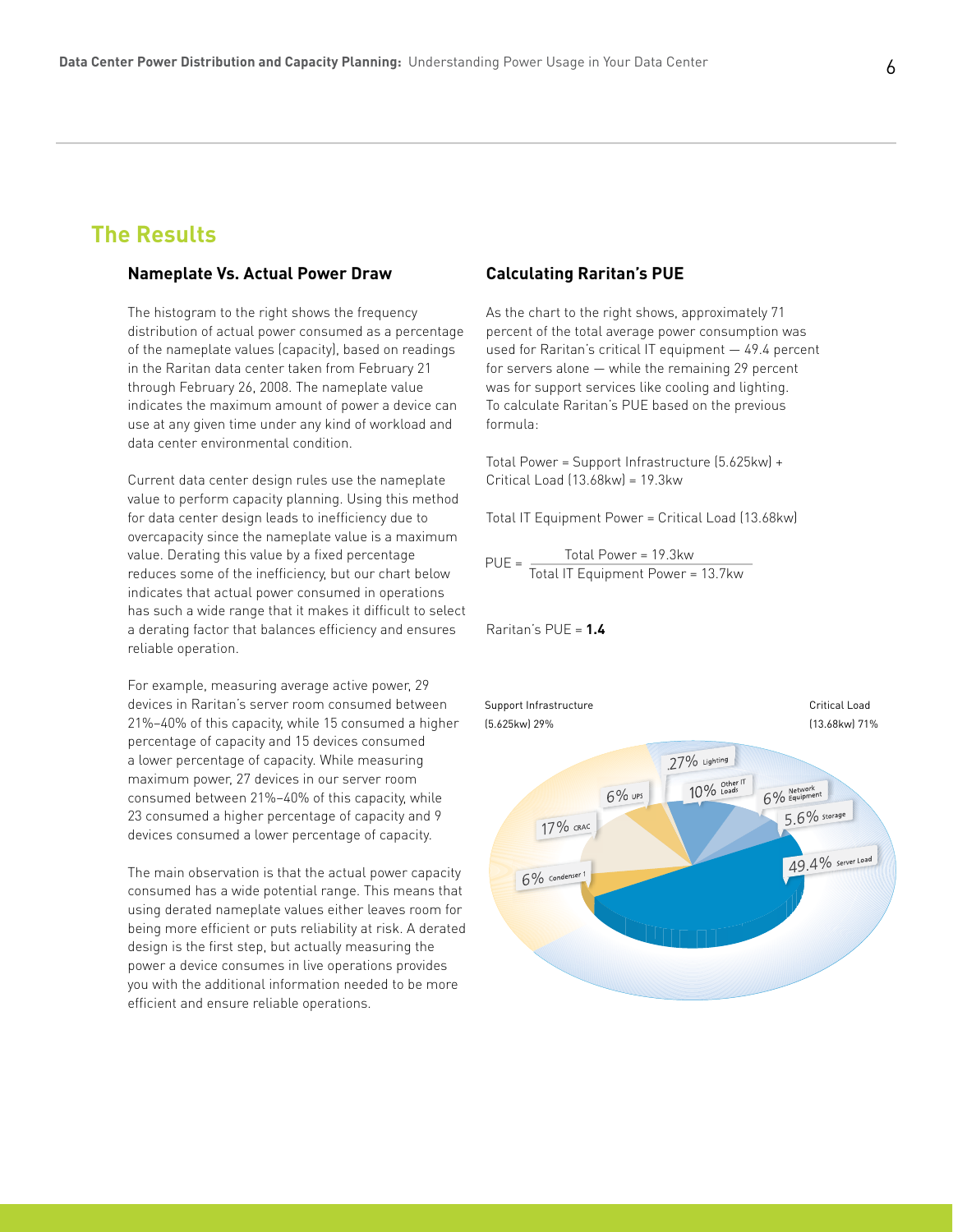## **The Results**

#### **Nameplate Vs. Actual Power Draw**

The histogram to the right shows the frequency distribution of actual power consumed as a percentage of the nameplate values (capacity), based on readings in the Raritan data center taken from February 21 through February 26, 2008. The nameplate value indicates the maximum amount of power a device can use at any given time under any kind of workload and data center environmental condition.

Current data center design rules use the nameplate value to perform capacity planning. Using this method for data center design leads to inefficiency due to overcapacity since the nameplate value is a maximum value. Derating this value by a fixed percentage reduces some of the inefficiency, but our chart below indicates that actual power consumed in operations has such a wide range that it makes it difficult to select a derating factor that balances efficiency and ensures reliable operation.

For example, measuring average active power, 29 devices in Raritan's server room consumed between 21%–40% of this capacity, while 15 consumed a higher percentage of capacity and 15 devices consumed a lower percentage of capacity. While measuring maximum power, 27 devices in our server room consumed between 21%–40% of this capacity, while 23 consumed a higher percentage of capacity and 9 devices consumed a lower percentage of capacity.

The main observation is that the actual power capacity consumed has a wide potential range. This means that using derated nameplate values either leaves room for being more efficient or puts reliability at risk. A derated design is the first step, but actually measuring the power a device consumes in live operations provides you with the additional information needed to be more efficient and ensure reliable operations.

#### **Calculating Raritan's PUE**

As the chart to the right shows, approximately 71 percent of the total average power consumption was used for Raritan's critical IT equipment — 49.4 percent for servers alone — while the remaining 29 percent was for support services like cooling and lighting. To calculate Raritan's PUE based on the previous formula:

Total Power = Support Infrastructure (5.625kw) + Critical Load (13.68kw) = 19.3kw

Total IT Equipment Power = Critical Load (13.68kw)

 Total Power = 19.3kw Total IT Equipment Power = 13.7kw  $PUE =$ 

#### Raritan's PUE = **1.4**

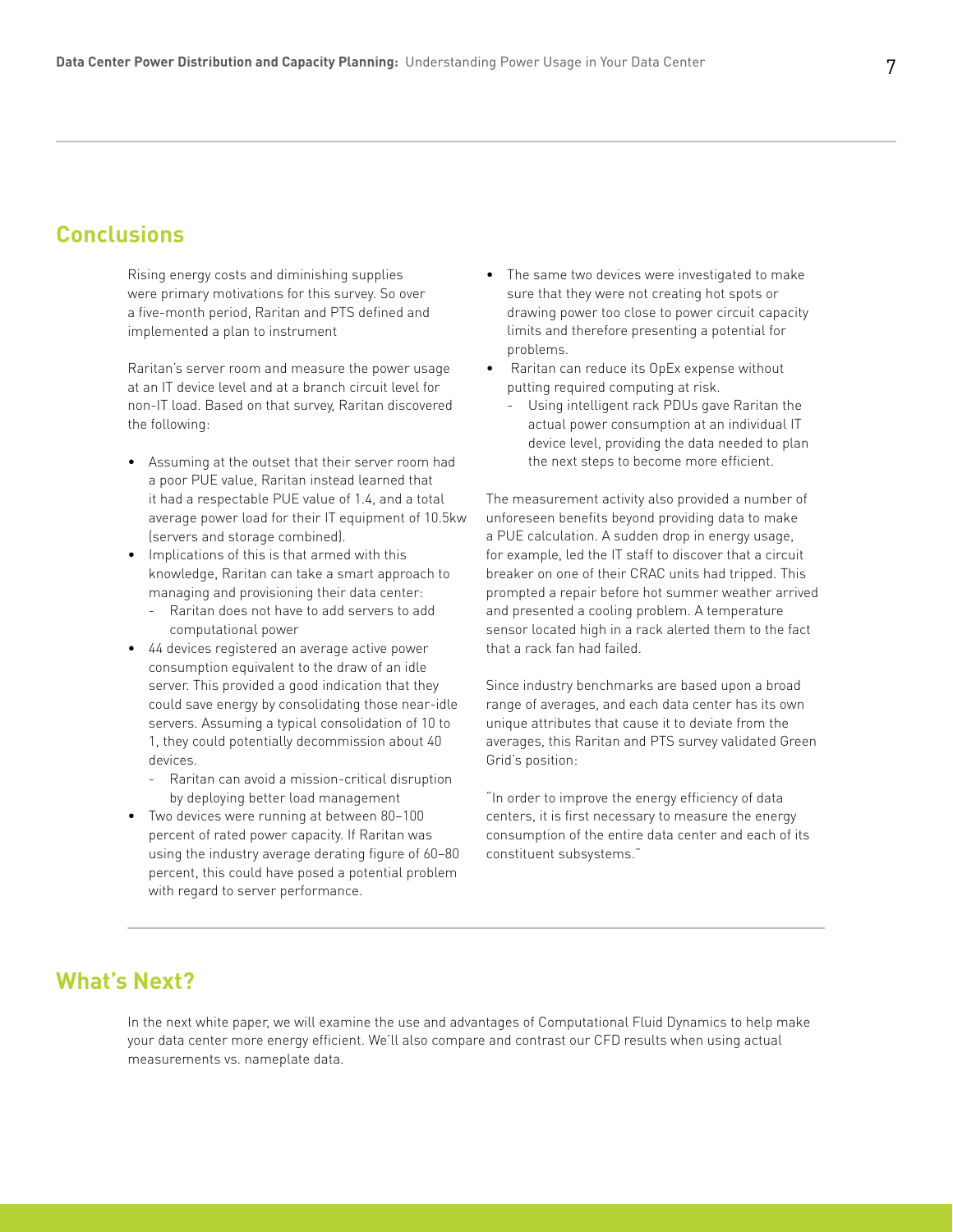## **Conclusions**

Rising energy costs and diminishing supplies were primary motivations for this survey. So over a five-month period, Raritan and PTS defined and implemented a plan to instrument

Raritan's server room and measure the power usage at an IT device level and at a branch circuit level for non-IT load. Based on that survey, Raritan discovered the following:

- Assuming at the outset that their server room had a poor PUE value, Raritan instead learned that it had a respectable PUE value of 1.4, and a total average power load for their IT equipment of 10.5kw (servers and storage combined).
- Implications of this is that armed with this knowledge, Raritan can take a smart approach to managing and provisioning their data center:
	- Raritan does not have to add servers to add computational power
- 44 devices registered an average active power consumption equivalent to the draw of an idle server. This provided a good indication that they could save energy by consolidating those near-idle servers. Assuming a typical consolidation of 10 to 1, they could potentially decommission about 40 devices.
	- Raritan can avoid a mission-critical disruption by deploying better load management
- Two devices were running at between 80–100 percent of rated power capacity. If Raritan was using the industry average derating figure of 60–80 percent, this could have posed a potential problem with regard to server performance.
- The same two devices were investigated to make sure that they were not creating hot spots or drawing power too close to power circuit capacity limits and therefore presenting a potential for problems.
- Raritan can reduce its OpEx expense without putting required computing at risk.
	- Using intelligent rack PDUs gave Raritan the actual power consumption at an individual IT device level, providing the data needed to plan the next steps to become more efficient.

The measurement activity also provided a number of unforeseen benefits beyond providing data to make a PUE calculation. A sudden drop in energy usage, for example, led the IT staff to discover that a circuit breaker on one of their CRAC units had tripped. This prompted a repair before hot summer weather arrived and presented a cooling problem. A temperature sensor located high in a rack alerted them to the fact that a rack fan had failed.

Since industry benchmarks are based upon a broad range of averages, and each data center has its own unique attributes that cause it to deviate from the averages, this Raritan and PTS survey validated Green Grid's position:

"In order to improve the energy efficiency of data centers, it is first necessary to measure the energy consumption of the entire data center and each of its constituent subsystems."

# **What's Next?**

In the next white paper, we will examine the use and advantages of Computational Fluid Dynamics to help make your data center more energy efficient. We'll also compare and contrast our CFD results when using actual measurements vs. nameplate data.